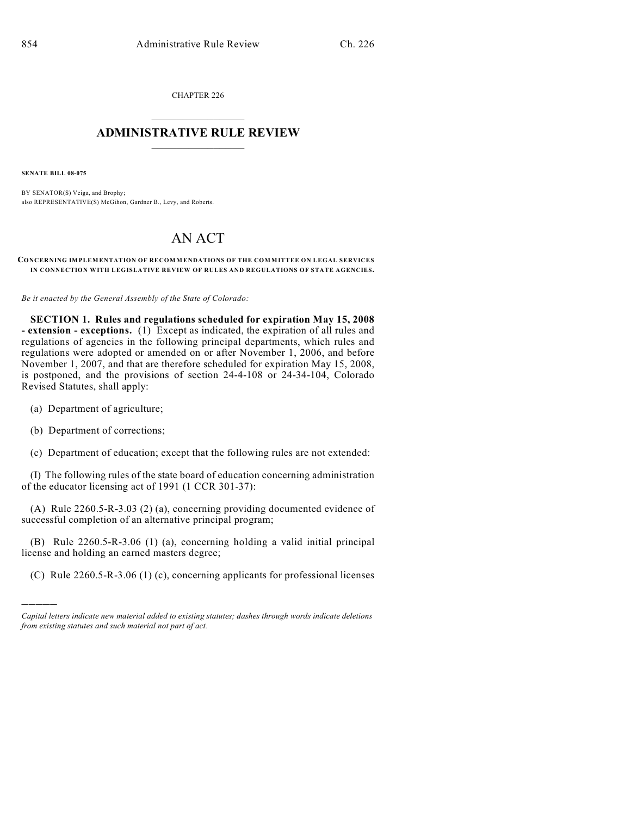CHAPTER 226  $\overline{\phantom{a}}$  . The set of the set of the set of the set of the set of the set of the set of the set of the set of the set of the set of the set of the set of the set of the set of the set of the set of the set of the set o

## **ADMINISTRATIVE RULE REVIEW**  $\_$

**SENATE BILL 08-075**

BY SENATOR(S) Veiga, and Brophy; also REPRESENTATIVE(S) McGihon, Gardner B., Levy, and Roberts.

## AN ACT

## **CONCERNING IMPLEMENTATION OF RECOMMENDATIONS OF THE COMMITTEE ON LEGAL SERVICES IN CONNECTION WITH LEGISLATIVE REVIEW OF RULES AND REGULATIONS OF STATE AGENCIES.**

*Be it enacted by the General Assembly of the State of Colorado:*

**SECTION 1. Rules and regulations scheduled for expiration May 15, 2008 - extension - exceptions.** (1) Except as indicated, the expiration of all rules and regulations of agencies in the following principal departments, which rules and regulations were adopted or amended on or after November 1, 2006, and before November 1, 2007, and that are therefore scheduled for expiration May 15, 2008, is postponed, and the provisions of section 24-4-108 or 24-34-104, Colorado Revised Statutes, shall apply:

- (a) Department of agriculture;
- (b) Department of corrections;

)))))

(c) Department of education; except that the following rules are not extended:

(I) The following rules of the state board of education concerning administration of the educator licensing act of 1991 (1 CCR 301-37):

(A) Rule 2260.5-R-3.03 (2) (a), concerning providing documented evidence of successful completion of an alternative principal program;

(B) Rule 2260.5-R-3.06 (1) (a), concerning holding a valid initial principal license and holding an earned masters degree;

(C) Rule 2260.5-R-3.06 (1) (c), concerning applicants for professional licenses

*Capital letters indicate new material added to existing statutes; dashes through words indicate deletions from existing statutes and such material not part of act.*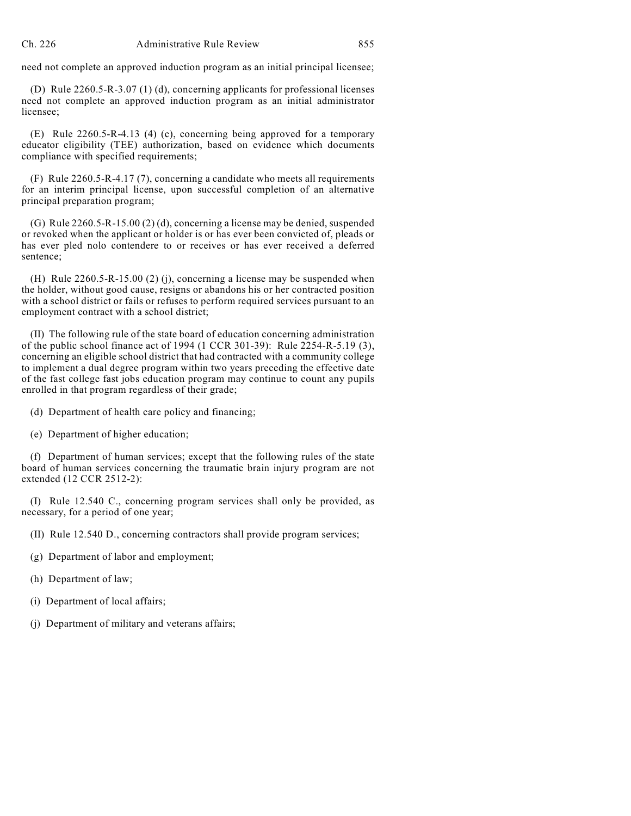need not complete an approved induction program as an initial principal licensee;

(D) Rule 2260.5-R-3.07 (1) (d), concerning applicants for professional licenses need not complete an approved induction program as an initial administrator licensee;

(E) Rule 2260.5-R-4.13 (4) (c), concerning being approved for a temporary educator eligibility (TEE) authorization, based on evidence which documents compliance with specified requirements;

(F) Rule 2260.5-R-4.17 (7), concerning a candidate who meets all requirements for an interim principal license, upon successful completion of an alternative principal preparation program;

(G) Rule 2260.5-R-15.00 (2) (d), concerning a license may be denied, suspended or revoked when the applicant or holder is or has ever been convicted of, pleads or has ever pled nolo contendere to or receives or has ever received a deferred sentence;

(H) Rule 2260.5-R-15.00 (2) (j), concerning a license may be suspended when the holder, without good cause, resigns or abandons his or her contracted position with a school district or fails or refuses to perform required services pursuant to an employment contract with a school district;

(II) The following rule of the state board of education concerning administration of the public school finance act of 1994 (1 CCR 301-39): Rule 2254-R-5.19 (3), concerning an eligible school district that had contracted with a community college to implement a dual degree program within two years preceding the effective date of the fast college fast jobs education program may continue to count any pupils enrolled in that program regardless of their grade;

(d) Department of health care policy and financing;

(e) Department of higher education;

(f) Department of human services; except that the following rules of the state board of human services concerning the traumatic brain injury program are not extended (12 CCR 2512-2):

(I) Rule 12.540 C., concerning program services shall only be provided, as necessary, for a period of one year;

(II) Rule 12.540 D., concerning contractors shall provide program services;

- (g) Department of labor and employment;
- (h) Department of law;
- (i) Department of local affairs;
- (j) Department of military and veterans affairs;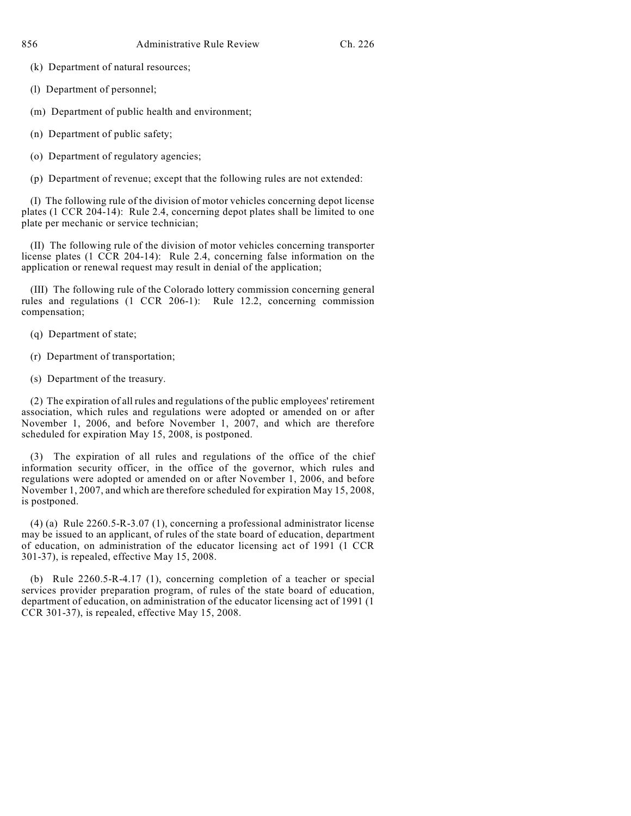(k) Department of natural resources;

(l) Department of personnel;

(m) Department of public health and environment;

- (n) Department of public safety;
- (o) Department of regulatory agencies;
- (p) Department of revenue; except that the following rules are not extended:

(I) The following rule of the division of motor vehicles concerning depot license plates (1 CCR 204-14): Rule 2.4, concerning depot plates shall be limited to one plate per mechanic or service technician;

(II) The following rule of the division of motor vehicles concerning transporter license plates (1 CCR 204-14): Rule 2.4, concerning false information on the application or renewal request may result in denial of the application;

(III) The following rule of the Colorado lottery commission concerning general rules and regulations (1 CCR 206-1): Rule 12.2, concerning commission compensation;

- (q) Department of state;
- (r) Department of transportation;
- (s) Department of the treasury.

(2) The expiration of all rules and regulations of the public employees' retirement association, which rules and regulations were adopted or amended on or after November 1, 2006, and before November 1, 2007, and which are therefore scheduled for expiration May 15, 2008, is postponed.

(3) The expiration of all rules and regulations of the office of the chief information security officer, in the office of the governor, which rules and regulations were adopted or amended on or after November 1, 2006, and before November 1, 2007, and which are therefore scheduled for expiration May 15, 2008, is postponed.

(4) (a) Rule 2260.5-R-3.07 (1), concerning a professional administrator license may be issued to an applicant, of rules of the state board of education, department of education, on administration of the educator licensing act of 1991 (1 CCR 301-37), is repealed, effective May 15, 2008.

(b) Rule 2260.5-R-4.17 (1), concerning completion of a teacher or special services provider preparation program, of rules of the state board of education, department of education, on administration of the educator licensing act of 1991 (1 CCR 301-37), is repealed, effective May 15, 2008.